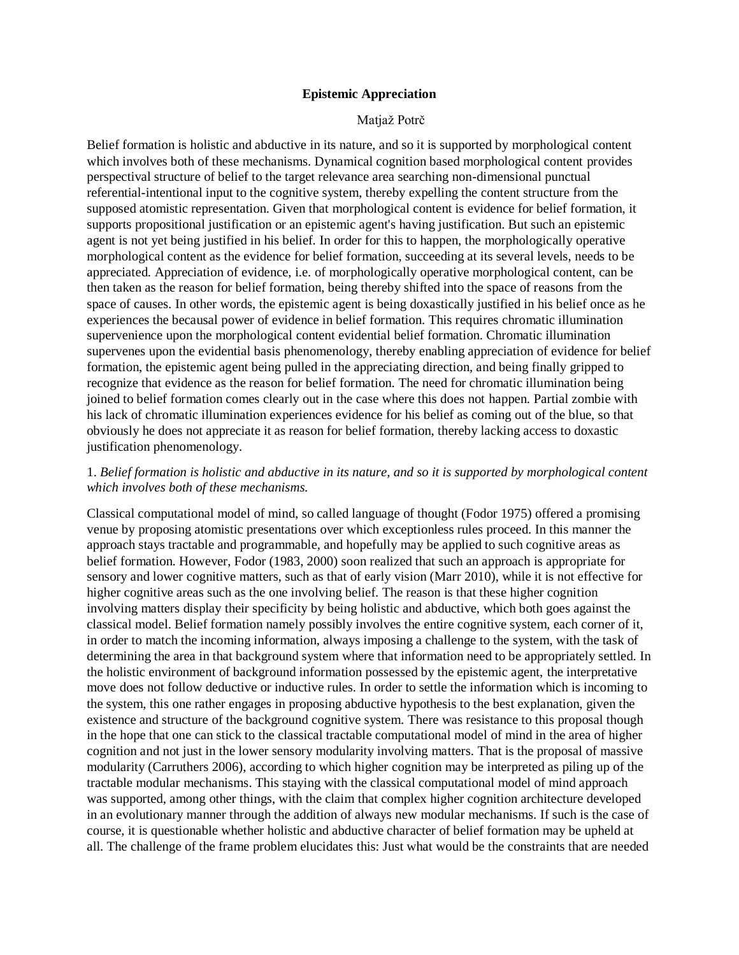#### **Epistemic Appreciation**

#### Matjaž Potrč

Belief formation is holistic and abductive in its nature, and so it is supported by morphological content which involves both of these mechanisms. Dynamical cognition based morphological content provides perspectival structure of belief to the target relevance area searching non-dimensional punctual referential-intentional input to the cognitive system, thereby expelling the content structure from the supposed atomistic representation. Given that morphological content is evidence for belief formation, it supports propositional justification or an epistemic agent's having justification. But such an epistemic agent is not yet being justified in his belief. In order for this to happen, the morphologically operative morphological content as the evidence for belief formation, succeeding at its several levels, needs to be appreciated. Appreciation of evidence, i.e. of morphologically operative morphological content, can be then taken as the reason for belief formation, being thereby shifted into the space of reasons from the space of causes. In other words, the epistemic agent is being doxastically justified in his belief once as he experiences the becausal power of evidence in belief formation. This requires chromatic illumination supervenience upon the morphological content evidential belief formation. Chromatic illumination supervenes upon the evidential basis phenomenology, thereby enabling appreciation of evidence for belief formation, the epistemic agent being pulled in the appreciating direction, and being finally gripped to recognize that evidence as the reason for belief formation. The need for chromatic illumination being joined to belief formation comes clearly out in the case where this does not happen. Partial zombie with his lack of chromatic illumination experiences evidence for his belief as coming out of the blue, so that obviously he does not appreciate it as reason for belief formation, thereby lacking access to doxastic justification phenomenology.

### 1. *Belief formation is holistic and abductive in its nature, and so it is supported by morphological content which involves both of these mechanisms.*

Classical computational model of mind, so called language of thought (Fodor 1975) offered a promising venue by proposing atomistic presentations over which exceptionless rules proceed. In this manner the approach stays tractable and programmable, and hopefully may be applied to such cognitive areas as belief formation. However, Fodor (1983, 2000) soon realized that such an approach is appropriate for sensory and lower cognitive matters, such as that of early vision (Marr 2010), while it is not effective for higher cognitive areas such as the one involving belief. The reason is that these higher cognition involving matters display their specificity by being holistic and abductive, which both goes against the classical model. Belief formation namely possibly involves the entire cognitive system, each corner of it, in order to match the incoming information, always imposing a challenge to the system, with the task of determining the area in that background system where that information need to be appropriately settled. In the holistic environment of background information possessed by the epistemic agent, the interpretative move does not follow deductive or inductive rules. In order to settle the information which is incoming to the system, this one rather engages in proposing abductive hypothesis to the best explanation, given the existence and structure of the background cognitive system. There was resistance to this proposal though in the hope that one can stick to the classical tractable computational model of mind in the area of higher cognition and not just in the lower sensory modularity involving matters. That is the proposal of massive modularity (Carruthers 2006), according to which higher cognition may be interpreted as piling up of the tractable modular mechanisms. This staying with the classical computational model of mind approach was supported, among other things, with the claim that complex higher cognition architecture developed in an evolutionary manner through the addition of always new modular mechanisms. If such is the case of course, it is questionable whether holistic and abductive character of belief formation may be upheld at all. The challenge of the frame problem elucidates this: Just what would be the constraints that are needed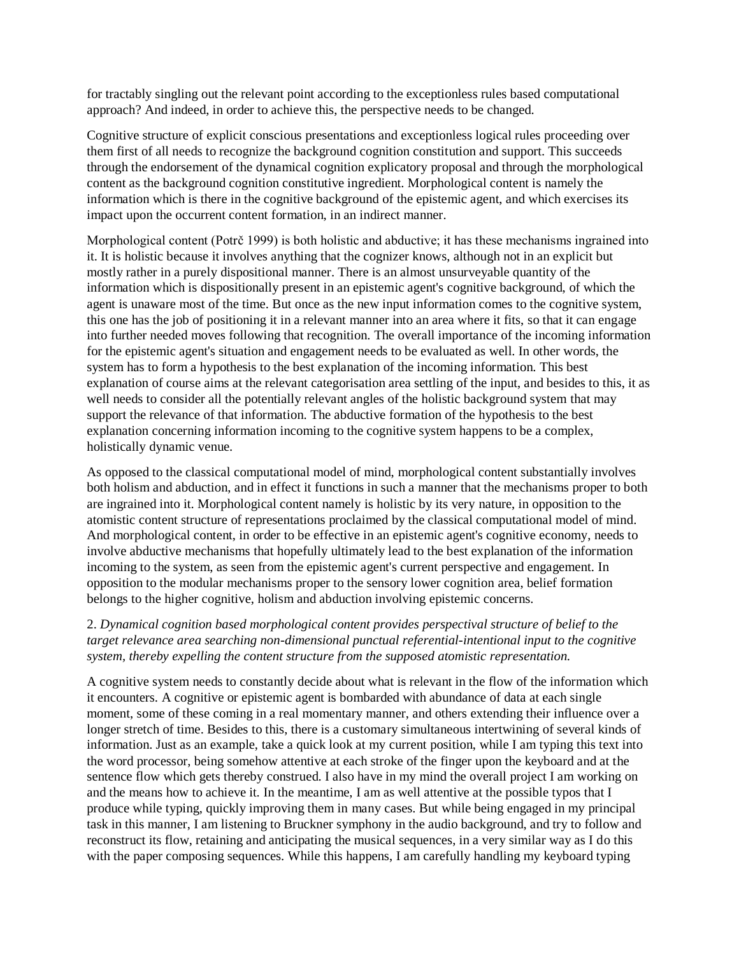for tractably singling out the relevant point according to the exceptionless rules based computational approach? And indeed, in order to achieve this, the perspective needs to be changed.

Cognitive structure of explicit conscious presentations and exceptionless logical rules proceeding over them first of all needs to recognize the background cognition constitution and support. This succeeds through the endorsement of the dynamical cognition explicatory proposal and through the morphological content as the background cognition constitutive ingredient. Morphological content is namely the information which is there in the cognitive background of the epistemic agent, and which exercises its impact upon the occurrent content formation, in an indirect manner.

Morphological content (Potrč 1999) is both holistic and abductive; it has these mechanisms ingrained into it. It is holistic because it involves anything that the cognizer knows, although not in an explicit but mostly rather in a purely dispositional manner. There is an almost unsurveyable quantity of the information which is dispositionally present in an epistemic agent's cognitive background, of which the agent is unaware most of the time. But once as the new input information comes to the cognitive system, this one has the job of positioning it in a relevant manner into an area where it fits, so that it can engage into further needed moves following that recognition. The overall importance of the incoming information for the epistemic agent's situation and engagement needs to be evaluated as well. In other words, the system has to form a hypothesis to the best explanation of the incoming information. This best explanation of course aims at the relevant categorisation area settling of the input, and besides to this, it as well needs to consider all the potentially relevant angles of the holistic background system that may support the relevance of that information. The abductive formation of the hypothesis to the best explanation concerning information incoming to the cognitive system happens to be a complex, holistically dynamic venue.

As opposed to the classical computational model of mind, morphological content substantially involves both holism and abduction, and in effect it functions in such a manner that the mechanisms proper to both are ingrained into it. Morphological content namely is holistic by its very nature, in opposition to the atomistic content structure of representations proclaimed by the classical computational model of mind. And morphological content, in order to be effective in an epistemic agent's cognitive economy, needs to involve abductive mechanisms that hopefully ultimately lead to the best explanation of the information incoming to the system, as seen from the epistemic agent's current perspective and engagement. In opposition to the modular mechanisms proper to the sensory lower cognition area, belief formation belongs to the higher cognitive, holism and abduction involving epistemic concerns.

### 2. *Dynamical cognition based morphological content provides perspectival structure of belief to the target relevance area searching non-dimensional punctual referential-intentional input to the cognitive system, thereby expelling the content structure from the supposed atomistic representation.*

A cognitive system needs to constantly decide about what is relevant in the flow of the information which it encounters. A cognitive or epistemic agent is bombarded with abundance of data at each single moment, some of these coming in a real momentary manner, and others extending their influence over a longer stretch of time. Besides to this, there is a customary simultaneous intertwining of several kinds of information. Just as an example, take a quick look at my current position, while I am typing this text into the word processor, being somehow attentive at each stroke of the finger upon the keyboard and at the sentence flow which gets thereby construed. I also have in my mind the overall project I am working on and the means how to achieve it. In the meantime, I am as well attentive at the possible typos that I produce while typing, quickly improving them in many cases. But while being engaged in my principal task in this manner, I am listening to Bruckner symphony in the audio background, and try to follow and reconstruct its flow, retaining and anticipating the musical sequences, in a very similar way as I do this with the paper composing sequences. While this happens, I am carefully handling my keyboard typing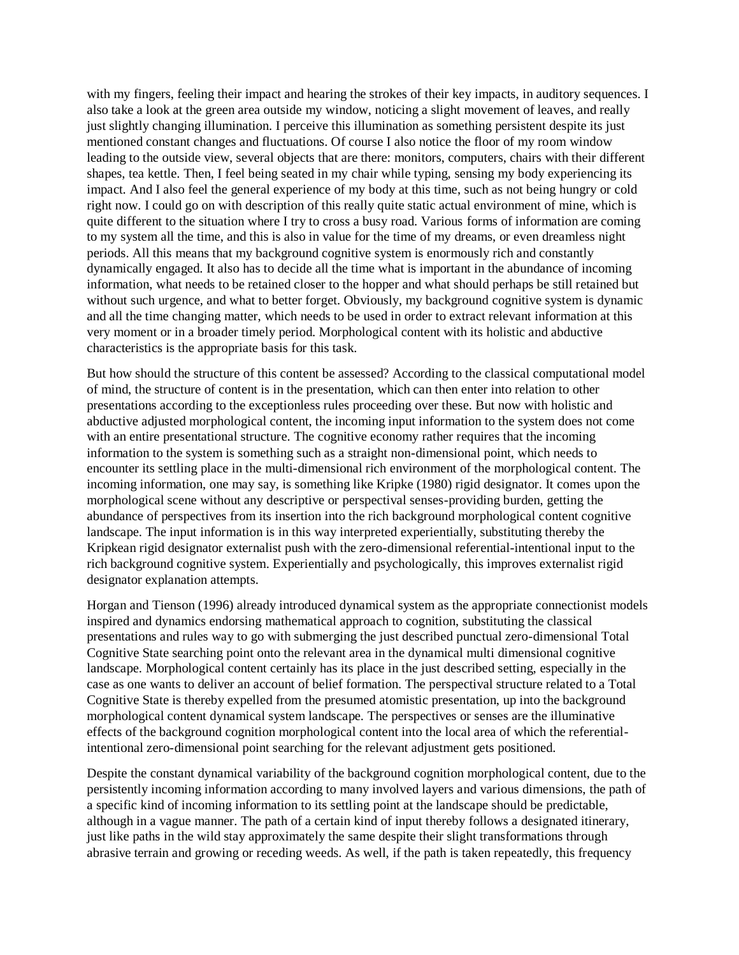with my fingers, feeling their impact and hearing the strokes of their key impacts, in auditory sequences. I also take a look at the green area outside my window, noticing a slight movement of leaves, and really just slightly changing illumination. I perceive this illumination as something persistent despite its just mentioned constant changes and fluctuations. Of course I also notice the floor of my room window leading to the outside view, several objects that are there: monitors, computers, chairs with their different shapes, tea kettle. Then, I feel being seated in my chair while typing, sensing my body experiencing its impact. And I also feel the general experience of my body at this time, such as not being hungry or cold right now. I could go on with description of this really quite static actual environment of mine, which is quite different to the situation where I try to cross a busy road. Various forms of information are coming to my system all the time, and this is also in value for the time of my dreams, or even dreamless night periods. All this means that my background cognitive system is enormously rich and constantly dynamically engaged. It also has to decide all the time what is important in the abundance of incoming information, what needs to be retained closer to the hopper and what should perhaps be still retained but without such urgence, and what to better forget. Obviously, my background cognitive system is dynamic and all the time changing matter, which needs to be used in order to extract relevant information at this very moment or in a broader timely period. Morphological content with its holistic and abductive characteristics is the appropriate basis for this task.

But how should the structure of this content be assessed? According to the classical computational model of mind, the structure of content is in the presentation, which can then enter into relation to other presentations according to the exceptionless rules proceeding over these. But now with holistic and abductive adjusted morphological content, the incoming input information to the system does not come with an entire presentational structure. The cognitive economy rather requires that the incoming information to the system is something such as a straight non-dimensional point, which needs to encounter its settling place in the multi-dimensional rich environment of the morphological content. The incoming information, one may say, is something like Kripke (1980) rigid designator. It comes upon the morphological scene without any descriptive or perspectival senses-providing burden, getting the abundance of perspectives from its insertion into the rich background morphological content cognitive landscape. The input information is in this way interpreted experientially, substituting thereby the Kripkean rigid designator externalist push with the zero-dimensional referential-intentional input to the rich background cognitive system. Experientially and psychologically, this improves externalist rigid designator explanation attempts.

Horgan and Tienson (1996) already introduced dynamical system as the appropriate connectionist models inspired and dynamics endorsing mathematical approach to cognition, substituting the classical presentations and rules way to go with submerging the just described punctual zero-dimensional Total Cognitive State searching point onto the relevant area in the dynamical multi dimensional cognitive landscape. Morphological content certainly has its place in the just described setting, especially in the case as one wants to deliver an account of belief formation. The perspectival structure related to a Total Cognitive State is thereby expelled from the presumed atomistic presentation, up into the background morphological content dynamical system landscape. The perspectives or senses are the illuminative effects of the background cognition morphological content into the local area of which the referentialintentional zero-dimensional point searching for the relevant adjustment gets positioned.

Despite the constant dynamical variability of the background cognition morphological content, due to the persistently incoming information according to many involved layers and various dimensions, the path of a specific kind of incoming information to its settling point at the landscape should be predictable, although in a vague manner. The path of a certain kind of input thereby follows a designated itinerary, just like paths in the wild stay approximately the same despite their slight transformations through abrasive terrain and growing or receding weeds. As well, if the path is taken repeatedly, this frequency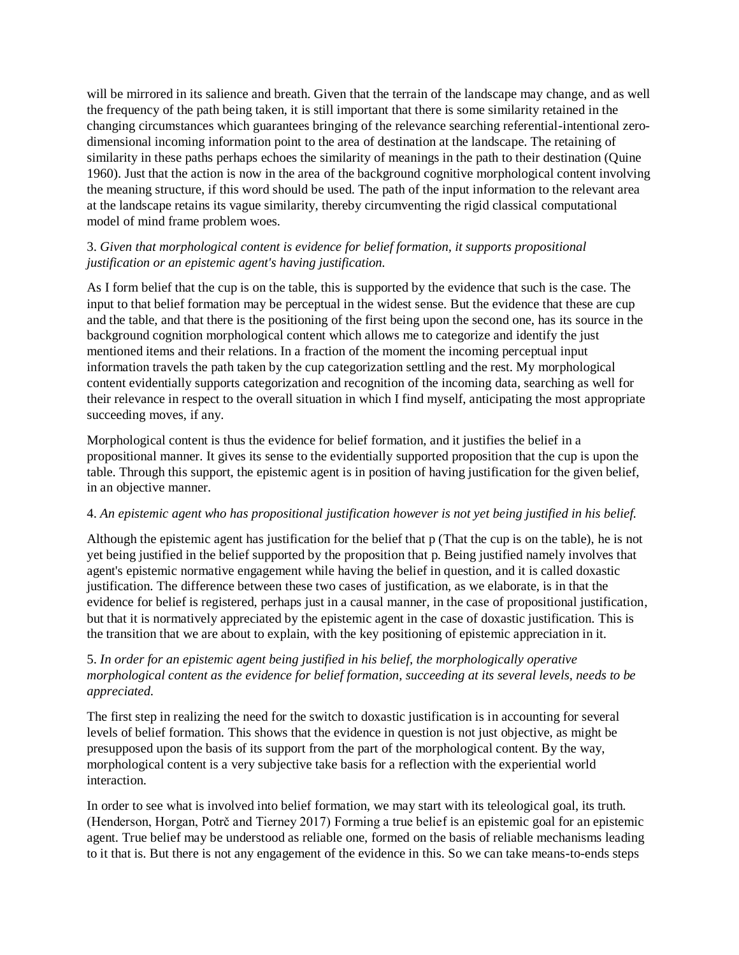will be mirrored in its salience and breath. Given that the terrain of the landscape may change, and as well the frequency of the path being taken, it is still important that there is some similarity retained in the changing circumstances which guarantees bringing of the relevance searching referential-intentional zerodimensional incoming information point to the area of destination at the landscape. The retaining of similarity in these paths perhaps echoes the similarity of meanings in the path to their destination (Quine 1960). Just that the action is now in the area of the background cognitive morphological content involving the meaning structure, if this word should be used. The path of the input information to the relevant area at the landscape retains its vague similarity, thereby circumventing the rigid classical computational model of mind frame problem woes.

# 3. *Given that morphological content is evidence for belief formation, it supports propositional justification or an epistemic agent's having justification.*

As I form belief that the cup is on the table, this is supported by the evidence that such is the case. The input to that belief formation may be perceptual in the widest sense. But the evidence that these are cup and the table, and that there is the positioning of the first being upon the second one, has its source in the background cognition morphological content which allows me to categorize and identify the just mentioned items and their relations. In a fraction of the moment the incoming perceptual input information travels the path taken by the cup categorization settling and the rest. My morphological content evidentially supports categorization and recognition of the incoming data, searching as well for their relevance in respect to the overall situation in which I find myself, anticipating the most appropriate succeeding moves, if any.

Morphological content is thus the evidence for belief formation, and it justifies the belief in a propositional manner. It gives its sense to the evidentially supported proposition that the cup is upon the table. Through this support, the epistemic agent is in position of having justification for the given belief, in an objective manner.

# 4. *An epistemic agent who has propositional justification however is not yet being justified in his belief.*

Although the epistemic agent has justification for the belief that p (That the cup is on the table), he is not yet being justified in the belief supported by the proposition that p. Being justified namely involves that agent's epistemic normative engagement while having the belief in question, and it is called doxastic justification. The difference between these two cases of justification, as we elaborate, is in that the evidence for belief is registered, perhaps just in a causal manner, in the case of propositional justification, but that it is normatively appreciated by the epistemic agent in the case of doxastic justification. This is the transition that we are about to explain, with the key positioning of epistemic appreciation in it.

# 5. *In order for an epistemic agent being justified in his belief, the morphologically operative morphological content as the evidence for belief formation, succeeding at its several levels, needs to be appreciated.*

The first step in realizing the need for the switch to doxastic justification is in accounting for several levels of belief formation. This shows that the evidence in question is not just objective, as might be presupposed upon the basis of its support from the part of the morphological content. By the way, morphological content is a very subjective take basis for a reflection with the experiential world interaction.

In order to see what is involved into belief formation, we may start with its teleological goal, its truth. (Henderson, Horgan, Potrč and Tierney 2017) Forming a true belief is an epistemic goal for an epistemic agent. True belief may be understood as reliable one, formed on the basis of reliable mechanisms leading to it that is. But there is not any engagement of the evidence in this. So we can take means-to-ends steps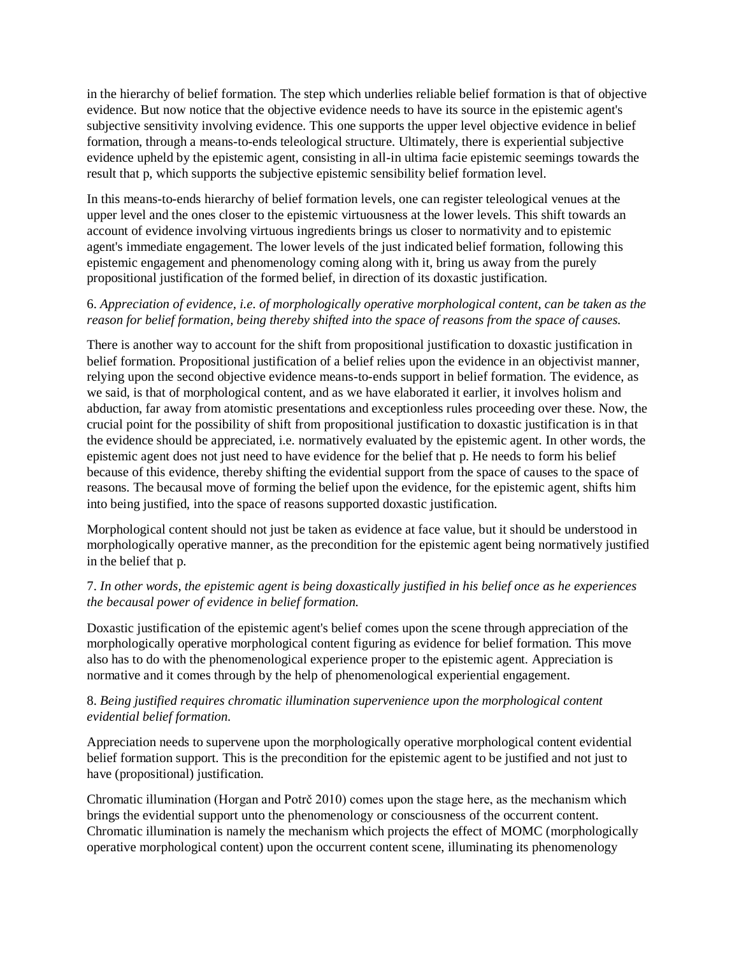in the hierarchy of belief formation. The step which underlies reliable belief formation is that of objective evidence. But now notice that the objective evidence needs to have its source in the epistemic agent's subjective sensitivity involving evidence. This one supports the upper level objective evidence in belief formation, through a means-to-ends teleological structure. Ultimately, there is experiential subjective evidence upheld by the epistemic agent, consisting in all-in ultima facie epistemic seemings towards the result that p, which supports the subjective epistemic sensibility belief formation level.

In this means-to-ends hierarchy of belief formation levels, one can register teleological venues at the upper level and the ones closer to the epistemic virtuousness at the lower levels. This shift towards an account of evidence involving virtuous ingredients brings us closer to normativity and to epistemic agent's immediate engagement. The lower levels of the just indicated belief formation, following this epistemic engagement and phenomenology coming along with it, bring us away from the purely propositional justification of the formed belief, in direction of its doxastic justification.

## 6. *Appreciation of evidence, i.e. of morphologically operative morphological content, can be taken as the reason for belief formation, being thereby shifted into the space of reasons from the space of causes.*

There is another way to account for the shift from propositional justification to doxastic justification in belief formation. Propositional justification of a belief relies upon the evidence in an objectivist manner, relying upon the second objective evidence means-to-ends support in belief formation. The evidence, as we said, is that of morphological content, and as we have elaborated it earlier, it involves holism and abduction, far away from atomistic presentations and exceptionless rules proceeding over these. Now, the crucial point for the possibility of shift from propositional justification to doxastic justification is in that the evidence should be appreciated, i.e. normatively evaluated by the epistemic agent. In other words, the epistemic agent does not just need to have evidence for the belief that p. He needs to form his belief because of this evidence, thereby shifting the evidential support from the space of causes to the space of reasons. The becausal move of forming the belief upon the evidence, for the epistemic agent, shifts him into being justified, into the space of reasons supported doxastic justification.

Morphological content should not just be taken as evidence at face value, but it should be understood in morphologically operative manner, as the precondition for the epistemic agent being normatively justified in the belief that p.

## 7. *In other words, the epistemic agent is being doxastically justified in his belief once as he experiences the becausal power of evidence in belief formation.*

Doxastic justification of the epistemic agent's belief comes upon the scene through appreciation of the morphologically operative morphological content figuring as evidence for belief formation. This move also has to do with the phenomenological experience proper to the epistemic agent. Appreciation is normative and it comes through by the help of phenomenological experiential engagement.

### 8. *Being justified requires chromatic illumination supervenience upon the morphological content evidential belief formation.*

Appreciation needs to supervene upon the morphologically operative morphological content evidential belief formation support. This is the precondition for the epistemic agent to be justified and not just to have (propositional) justification.

Chromatic illumination (Horgan and Potrč 2010) comes upon the stage here, as the mechanism which brings the evidential support unto the phenomenology or consciousness of the occurrent content. Chromatic illumination is namely the mechanism which projects the effect of MOMC (morphologically operative morphological content) upon the occurrent content scene, illuminating its phenomenology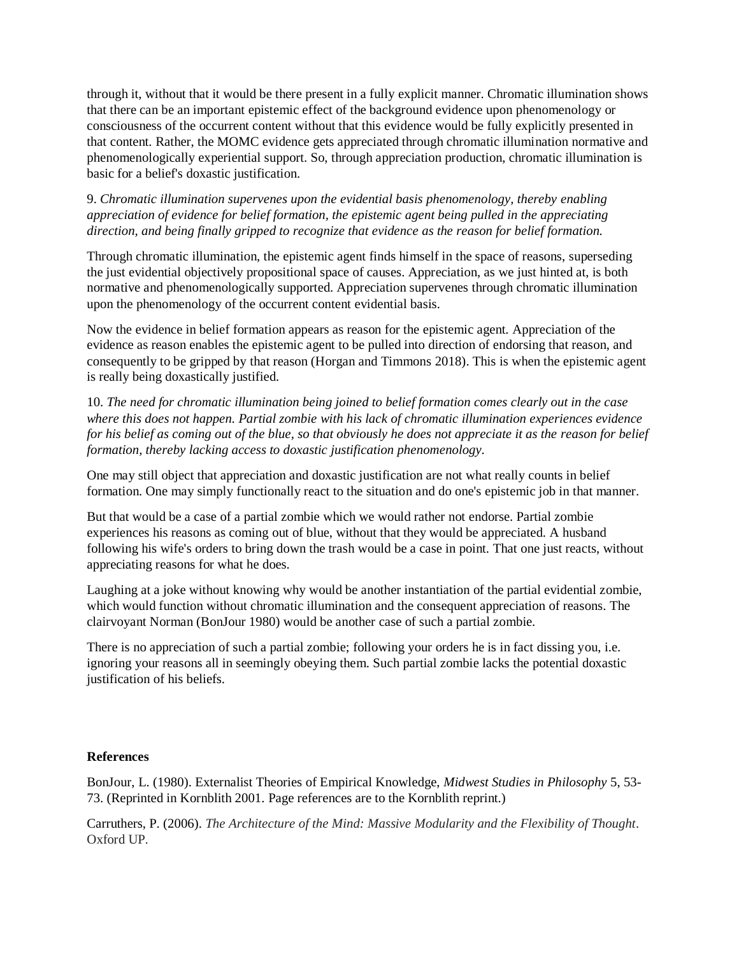through it, without that it would be there present in a fully explicit manner. Chromatic illumination shows that there can be an important epistemic effect of the background evidence upon phenomenology or consciousness of the occurrent content without that this evidence would be fully explicitly presented in that content. Rather, the MOMC evidence gets appreciated through chromatic illumination normative and phenomenologically experiential support. So, through appreciation production, chromatic illumination is basic for a belief's doxastic justification.

9. *Chromatic illumination supervenes upon the evidential basis phenomenology, thereby enabling appreciation of evidence for belief formation, the epistemic agent being pulled in the appreciating direction, and being finally gripped to recognize that evidence as the reason for belief formation.*

Through chromatic illumination, the epistemic agent finds himself in the space of reasons, superseding the just evidential objectively propositional space of causes. Appreciation, as we just hinted at, is both normative and phenomenologically supported. Appreciation supervenes through chromatic illumination upon the phenomenology of the occurrent content evidential basis.

Now the evidence in belief formation appears as reason for the epistemic agent. Appreciation of the evidence as reason enables the epistemic agent to be pulled into direction of endorsing that reason, and consequently to be gripped by that reason (Horgan and Timmons 2018). This is when the epistemic agent is really being doxastically justified.

10. *The need for chromatic illumination being joined to belief formation comes clearly out in the case where this does not happen. Partial zombie with his lack of chromatic illumination experiences evidence for his belief as coming out of the blue, so that obviously he does not appreciate it as the reason for belief formation, thereby lacking access to doxastic justification phenomenology.*

One may still object that appreciation and doxastic justification are not what really counts in belief formation. One may simply functionally react to the situation and do one's epistemic job in that manner.

But that would be a case of a partial zombie which we would rather not endorse. Partial zombie experiences his reasons as coming out of blue, without that they would be appreciated. A husband following his wife's orders to bring down the trash would be a case in point. That one just reacts, without appreciating reasons for what he does.

Laughing at a joke without knowing why would be another instantiation of the partial evidential zombie, which would function without chromatic illumination and the consequent appreciation of reasons. The clairvoyant Norman (BonJour 1980) would be another case of such a partial zombie.

There is no appreciation of such a partial zombie; following your orders he is in fact dissing you, i.e. ignoring your reasons all in seemingly obeying them. Such partial zombie lacks the potential doxastic justification of his beliefs.

### **References**

BonJour, L. (1980). Externalist Theories of Empirical Knowledge, *Midwest Studies in Philosophy* 5, 53- 73. (Reprinted in Kornblith 2001. Page references are to the Kornblith reprint.)

Carruthers, P. (2006). *The Architecture of the Mind: Massive Modularity and the Flexibility of Thought*. Oxford UP.